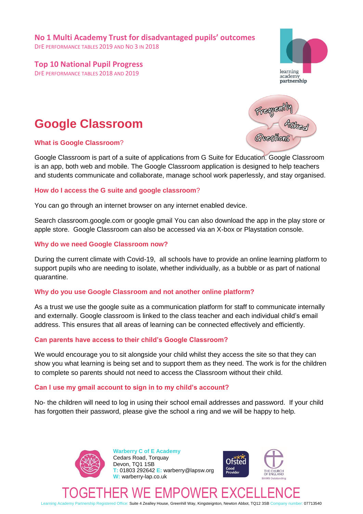**No 1 Multi Academy Trust for disadvantaged pupils' outcomes**

DFE PERFORMANCE TABLES 2019 AND NO 3 IN 2018

## **Top 10 National Pupil Progress**

DFE PERFORMANCE TABLES 2018 AND 2019



# **Google Classroom**

#### **What is Google Classroom**?

Omesthon

Google Classroom is part of a suite of applications from G Suite for Education. Google Classroom is an app, both web and mobile. The Google Classroom application is designed to help teachers and students communicate and collaborate, manage school work paperlessly, and stay organised.

#### **How do I access the G suite and google classroom**?

You can go through an internet browser on any internet enabled device.

Search classroom.google.com or google gmail You can also download the app in the play store or apple store. Google Classroom can also be accessed via an X-box or Playstation console.

#### **Why do we need Google Classroom now?**

During the current climate with Covid-19, all schools have to provide an online learning platform to support pupils who are needing to isolate, whether individually, as a bubble or as part of national quarantine.

## **Why do you use Google Classroom and not another online platform?**

As a trust we use the google suite as a communication platform for staff to communicate internally and externally. Google classroom is linked to the class teacher and each individual child's email address. This ensures that all areas of learning can be connected effectively and efficiently.

## **Can parents have access to their child's Google Classroom?**

We would encourage you to sit alongside your child whilst they access the site so that they can show you what learning is being set and to support them as they need. The work is for the children to complete so parents should not need to access the Classroom without their child.

## **Can I use my gmail account to sign in to my child's account?**

No- the children will need to log in using their school email addresses and password. If your child has forgotten their password, please give the school a ring and we will be happy to help.



**Warberry C of E Academy** Cedars Road, Torquay Devon, TQ1 1SB **T:** 01803 292642 **E:** warberry@lapsw.org **W:** warberry-lap.co.uk





# TOGETHER WE EMPOWER EXCELLENCE

Learning Academy Partnership Registered Office: Suite 4 Zealley House, Greenhill Way, Kingsteignton, Newton Abbot, TQ12 3SB Company number: 07713540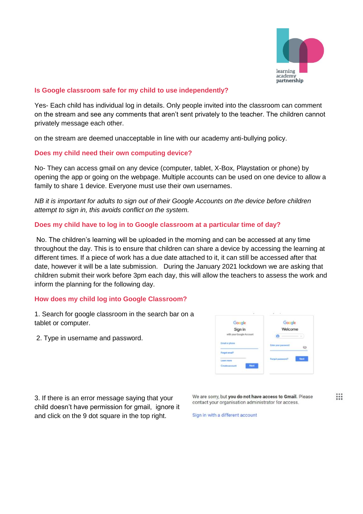

### **Is Google classroom safe for my child to use independently?**

Yes- Each child has individual log in details. Only people invited into the classroom can comment on the stream and see any comments that aren't sent privately to the teacher. The children cannot privately message each other.

on the stream are deemed unacceptable in line with our academy anti-bullying policy.

#### **Does my child need their own computing device?**

No- They can access gmail on any device (computer, tablet, X-Box, Playstation or phone) by opening the app or going on the webpage. Multiple accounts can be used on one device to allow a family to share 1 device. Everyone must use their own usernames.

*NB it is important for adults to sign out of their Google Accounts on the device before children attempt to sign in, this avoids conflict on the system.*

#### **Does my child have to log in to Google classroom at a particular time of day?**

No. The children's learning will be uploaded in the morning and can be accessed at any time throughout the day. This is to ensure that children can share a device by accessing the learning at different times. If a piece of work has a due date attached to it, it can still be accessed after that date, however it will be a late submission. During the January 2021 lockdown we are asking that children submit their work before 3pm each day, this will allow the teachers to assess the work and inform the planning for the following day.

#### **How does my child log into Google Classroom?**

1. Search for google classroom in the search bar on a tablet or computer.

2. Type in username and password.

| Google                                      | Google                     |
|---------------------------------------------|----------------------------|
| Sign in                                     | Welcome                    |
| with your Google Account                    |                            |
| <b>Email or phone</b>                       | <b>Enter your password</b> |
| Furget small?<br><b>Service Controllers</b> |                            |
| <b>Learn Here</b>                           | Next<br>Forgot password?   |
| <b>Create annount</b><br>Next :             |                            |

3. If there is an error message saying that your child doesn't have permission for gmail, ignore it and click on the 9 dot square in the top right.

We are sorry, but you do not have access to Gmail. Please contact your organisation administrator for access.

 $\mathbf{...}$ 

Sign in with a different account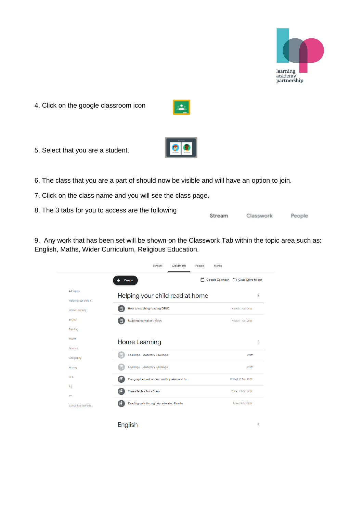

People

Classwork

4. Click on the google classroom icon



 $|<sub>2</sub>|$ 

5. Select that you are a student.



- 7. Click on the class name and you will see the class page.
- 8. The 3 tabs for you to access are the following Stream

9. Any work that has been set will be shown on the Classwork Tab within the topic area such as: English, Maths, Wider Curriculum, Religious Education.

|                         | Create                                 |                                           | m | Google Calendar | Class Drive folder |          |
|-------------------------|----------------------------------------|-------------------------------------------|---|-----------------|--------------------|----------|
| All topics              | Helping your child read at home        |                                           |   |                 |                    | $\vdots$ |
| Helping your child r    |                                        |                                           |   |                 |                    |          |
| <b>Home Learning</b>    | How to teaching reading DERIC          |                                           |   |                 | Posted 1 Oct 2020  |          |
| English                 | <b>Reading journal activities</b>      |                                           |   |                 | Posted 1 Oct 2020  |          |
| Reading                 |                                        |                                           |   |                 |                    |          |
| Maths                   | Home Learning                          |                                           |   |                 |                    | $\vdots$ |
| Science                 |                                        |                                           |   |                 |                    |          |
| Geography               | <b>Spellings - Statutory Spellings</b> |                                           |   |                 | Draft              |          |
| History                 | <b>Spellings - Statutory Spellings</b> |                                           |   |                 | Draft              |          |
| <b>RHE</b>              | 旧                                      | Geography - volcanoes, earthquakes and ts |   |                 | Posted 18 Dec 2020 |          |
| <b>RE</b>               | 自<br><b>Times Tables Rock Stars</b>    |                                           |   |                 | Edited 15 Oct 2020 |          |
| PE<br>Completed home le | le                                     | Reading quiz through Accelerated Reader   |   |                 | Edited 8 Oct 2020  |          |
|                         | English                                |                                           |   |                 |                    | ÷        |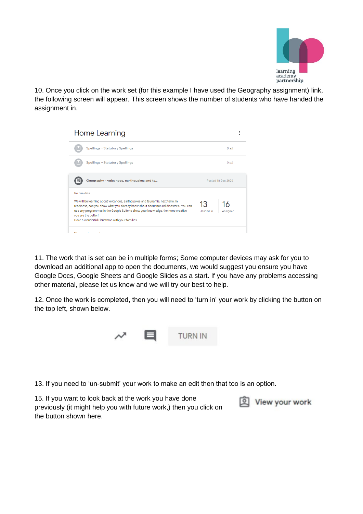

10. Once you click on the work set (for this example I have used the Geography assignment) link, the following screen will appear. This screen shows the number of students who have handed the assignment in.



11. The work that is set can be in multiple forms; Some computer devices may ask for you to download an additional app to open the documents, we would suggest you ensure you have Google Docs, Google Sheets and Google Slides as a start. If you have any problems accessing other material, please let us know and we will try our best to help.

12. Once the work is completed, then you will need to 'turn in' your work by clicking the button on the top left, shown below.



13. If you need to 'un-submit' your work to make an edit then that too is an option.

15. If you want to look back at the work you have done previously (it might help you with future work,) then you click on the button shown here.

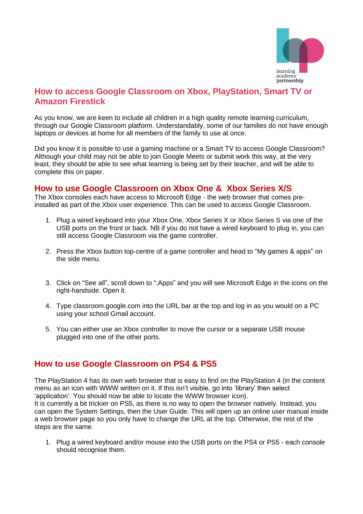

# **How to access Google Classroom on Xbox, PlayStation, Smart TV or Amazon Firestick**

As you know, we are keen to include all children in a high quality remote learning curriculum, through our Google Classroom platform. Understandably, some of our families do not have enough laptops or devices at home for all members of the family to use at once.

Did you know it is possible to use a gaming machine or a Smart TV to access Google Classroom? Although your child may not be able to join Google Meets or submit work this way, at the very least, they should be able to see what learning is being set by their teacher, and will be able to complete this on paper.

## **How to use Google Classroom on Xbox One & Xbox Series X/S**

The Xbox consoles each have access to Microsoft Edge - the web browser that comes preinstalled as part of the Xbox user experience. This can be used to access Google Classroom.

- 1. Plug a wired keyboard into your Xbox One, Xbox Series X or Xbox Series S via one of the USB ports on the front or back. NB if you do not have a wired keyboard to plug in, you can still access Google Classroom via the game controller.
- 2. Press the Xbox button top-centre of a game controller and head to "My games & apps" on the side menu.
- 3. Click on "See all", scroll down to ";Apps" and you will see Microsoft Edge in the icons on the right-handside. Open it.
- 4. Type classroom.google.com into the URL bar at the top and log in as you would on a PC using your school Gmail account.
- 5. You can either use an Xbox controller to move the cursor or a separate USB mouse plugged into one of the other ports.

# **How to use Google Classroom on PS4 & PS5**

The PlayStation 4 has its own web browser that is easy to find on the PlayStation 4 (in the content menu as an icon with WWW written on it. If this isn't visible, go into 'library' then select 'application'. You should now be able to locate the WWW browser icon).

It is currently a bit trickier on PS5, as there is no way to open the browser natively. Instead, you can open the System Settings, then the User Guide. This will open up an online user manual inside a web browser page so you only have to change the URL at the top. Otherwise, the rest of the steps are the same.

1. Plug a wired keyboard and/or mouse into the USB ports on the PS4 or PS5 - each console should recognise them.